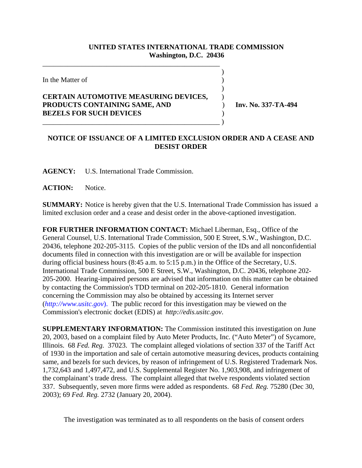## **UNITED STATES INTERNATIONAL TRADE COMMISSION Washington, D.C. 20436**

 $\rightarrow$ 

)

In the Matter of  $\hspace{1.5cm}$  )

## **CERTAIN AUTOMOTIVE MEASURING DEVICES,** ) **PRODUCTS CONTAINING SAME, AND** ) **Inv. No. 337-TA-494 BEZELS FOR SUCH DEVICES** ) \_\_\_\_\_\_\_\_\_\_\_\_\_\_\_\_\_\_\_\_\_\_\_\_\_\_\_\_\_\_\_\_\_\_\_\_\_\_\_\_\_\_\_\_\_\_\_\_\_\_ )

\_\_\_\_\_\_\_\_\_\_\_\_\_\_\_\_\_\_\_\_\_\_\_\_\_\_\_\_\_\_\_\_\_\_\_\_\_\_\_\_\_\_\_\_\_\_\_\_\_\_

## **NOTICE OF ISSUANCE OF A LIMITED EXCLUSION ORDER AND A CEASE AND DESIST ORDER**

**AGENCY:** U.S. International Trade Commission.

**ACTION:** Notice.

**SUMMARY:** Notice is hereby given that the U.S. International Trade Commission has issued a limited exclusion order and a cease and desist order in the above-captioned investigation.

**FOR FURTHER INFORMATION CONTACT:** Michael Liberman, Esq., Office of the General Counsel, U.S. International Trade Commission, 500 E Street, S.W., Washington, D.C. 20436, telephone 202-205-3115. Copies of the public version of the IDs and all nonconfidential documents filed in connection with this investigation are or will be available for inspection during official business hours (8:45 a.m. to 5:15 p.m.) in the Office of the Secretary, U.S. International Trade Commission, 500 E Street, S.W., Washington, D.C. 20436, telephone 202- 205-2000. Hearing-impaired persons are advised that information on this matter can be obtained by contacting the Commission's TDD terminal on 202-205-1810. General information concerning the Commission may also be obtained by accessing its Internet server (*http://www.usitc.gov*). The public record for this investigation may be viewed on the Commission's electronic docket (EDIS) at *http://edis.usitc.gov*.

**SUPPLEMENTARY INFORMATION:** The Commission instituted this investigation on June 20, 2003, based on a complaint filed by Auto Meter Products, Inc. ("Auto Meter") of Sycamore, Illinois. 68 *Fed. Reg.* 37023. The complaint alleged violations of section 337 of the Tariff Act of 1930 in the importation and sale of certain automotive measuring devices, products containing same, and bezels for such devices, by reason of infringement of U.S. Registered Trademark Nos. 1,732,643 and 1,497,472, and U.S. Supplemental Register No. 1,903,908, and infringement of the complainant's trade dress. The complaint alleged that twelve respondents violated section 337. Subsequently, seven more firms were added as respondents. 68 *Fed. Reg.* 75280 (Dec 30, 2003); 69 *Fed. Reg.* 2732 (January 20, 2004).

The investigation was terminated as to all respondents on the basis of consent orders